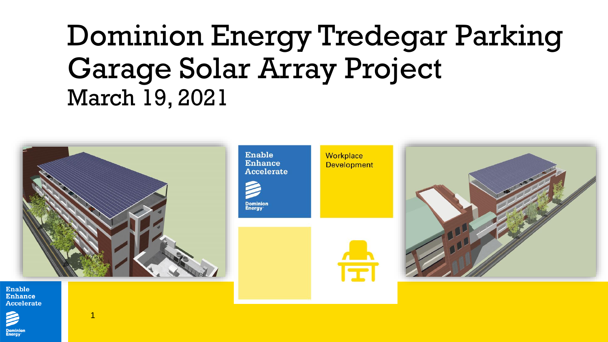# Dominion Energy Tredegar Parking Garage Solar Array Project March 19, 2021



Enable Enhance Accelerate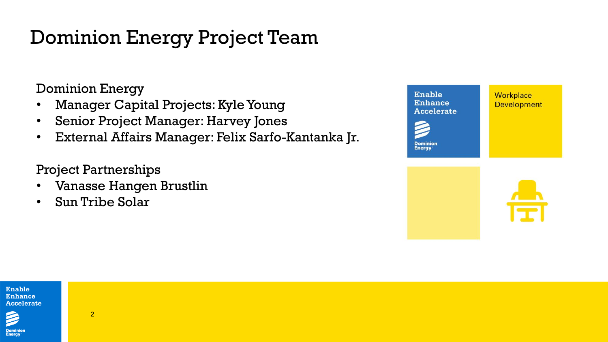## Dominion Energy Project Team

Dominion Energy

- Manager Capital Projects: Kyle Young
- Senior Project Manager: Harvey Jones
- External Affairs Manager: Felix Sarfo-Kantanka Jr.

Project Partnerships

- Vanasse Hangen Brustlin
- Sun Tribe Solar





**Dominior**<br>Energy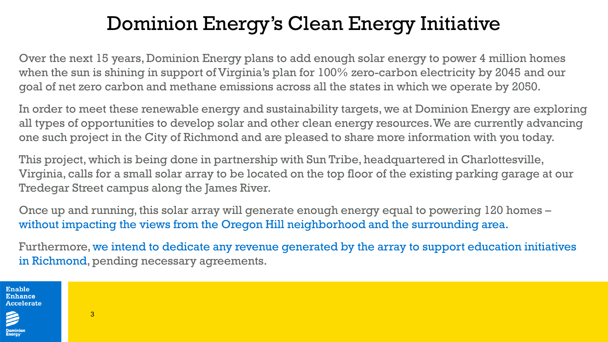## Dominion Energy's Clean Energy Initiative

Over the next 15 years, Dominion Energy plans to add enough solar energy to power 4 million homes when the sun is shining in support of Virginia's plan for 100% zero-carbon electricity by 2045 and our goal of net zero carbon and methane emissions across all the states in which we operate by 2050.

In order to meet these renewable energy and sustainability targets, we at Dominion Energy are exploring all types of opportunities to develop solar and other clean energy resources. We are currently advancing one such project in the City of Richmond and are pleased to share more information with you today.

This project, which is being done in partnership with Sun Tribe, headquartered in Charlottesville, Virginia, calls for a small solar array to be located on the top floor of the existing parking garage at our Tredegar Street campus along the James River.

Once up and running, this solar array will generate enough energy equal to powering 120 homes – without impacting the views from the Oregon Hill neighborhood and the surrounding area.

Furthermore, we intend to dedicate any revenue generated by the array to support education initiatives in Richmond, pending necessary agreements.

Enable Enhance Accelerate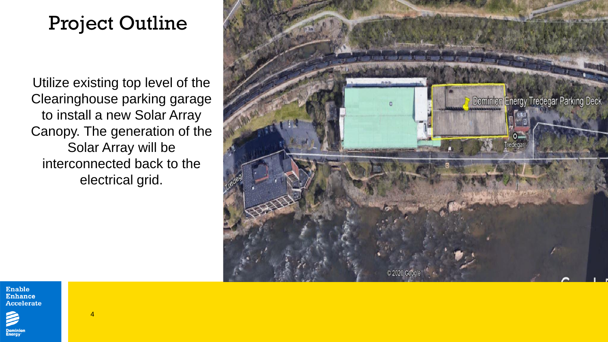### Project Outline

Utilize existing top level of the Clearinghouse parking garage to install a new Solar Array Canopy. The generation of the Solar Array will be interconnected back to the electrical grid.





Domini<mark>c</mark><br>Energy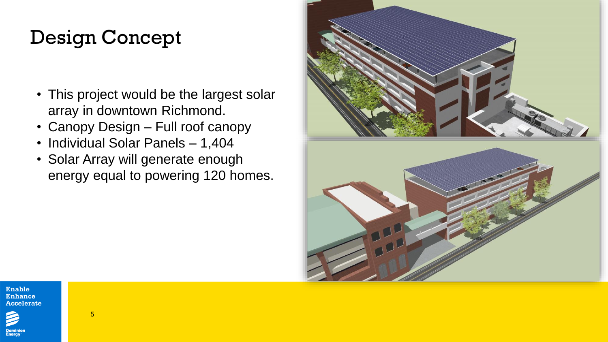### Design Concept

- This project would be the largest solar array in downtown Richmond.
- Canopy Design Full roof canopy
- Individual Solar Panels 1,404
- Solar Array will generate enough energy equal to powering 120 homes.



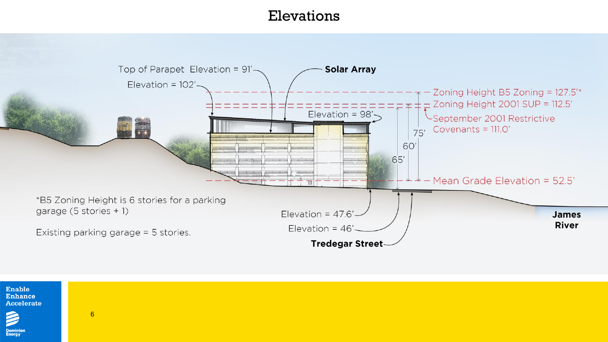### Elevations





6

**Dominion**<br>Energy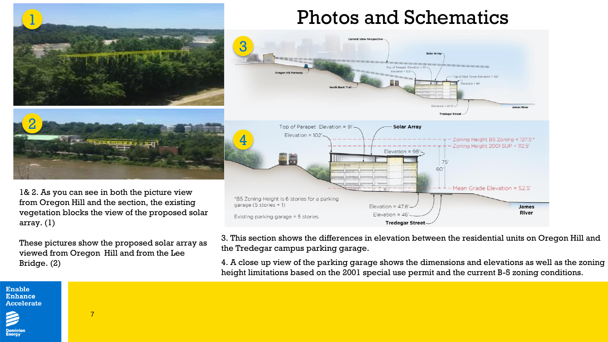

These pictures show the proposed solar array as viewed from Oregon Hill and from the Lee Bridge. (2)

7

3. This section shows the differences in elevation between the residential units on Oregon Hill and the Tredegar campus parking garage.

4. A close up view of the parking garage shows the dimensions and elevations as well as the zoning height limitations based on the 2001 special use permit and the current B-5 zoning conditions.

#### Enable **Enhance Accelerate**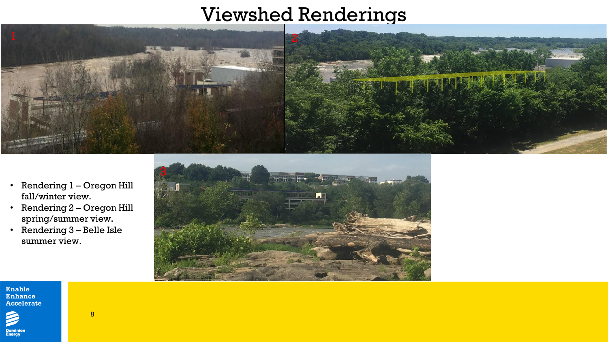### Viewshed Renderings



- Rendering 1 Oregon Hill fall/winter view.
- Rendering 2 Oregon Hill spring/summer view.

8

• Rendering 3 – Belle Isle summer view.



Enable<br>Enhance Accelerate

**Dominion**<br>Energy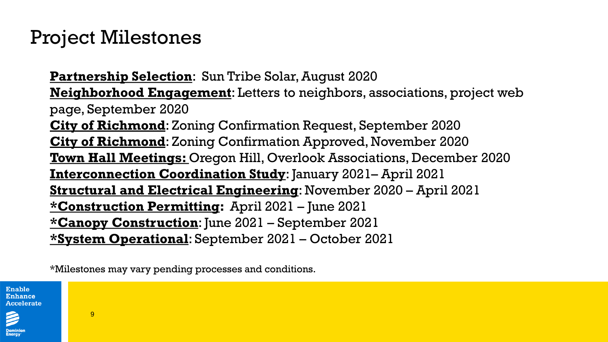### Project Milestones

**Partnership Selection**: Sun Tribe Solar, August 2020 **Neighborhood Engagement**: Letters to neighbors, associations, project web page, September 2020 **City of Richmond**: Zoning Confirmation Request, September 2020 **City of Richmond**: Zoning Confirmation Approved, November 2020 **Town Hall Meetings:** Oregon Hill, Overlook Associations, December 2020 **Interconnection Coordination Study**: January 2021– April 2021 **Structural and Electrical Engineering**: November 2020 – April 2021 **\*Construction Permitting:** April 2021 – June 2021 **\*Canopy Construction**: June 2021 – September 2021 **\*System Operational**: September 2021 – October 2021

\*Milestones may vary pending processes and conditions.

Enable Enhance Accelerate